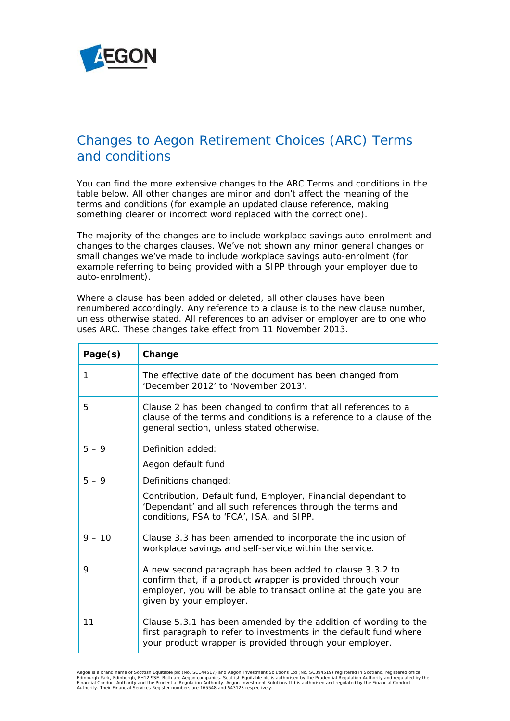

## Changes to Aegon Retirement Choices (ARC) Terms and conditions

You can find the more extensive changes to the *ARC Terms and conditions* in the table below. All other changes are minor and don't affect the meaning of the terms and conditions (for example an updated clause reference, making something clearer or incorrect word replaced with the correct one).

The majority of the changes are to include workplace savings auto-enrolment and changes to the charges clauses. We've not shown any minor general changes or small changes we've made to include workplace savings auto-enrolment (for example referring to being provided with a SIPP through your employer due to auto-enrolment).

Where a clause has been added or deleted, all other clauses have been renumbered accordingly. Any reference to a clause is to the new clause number, unless otherwise stated. All references to an adviser or employer are to one who uses ARC. These changes take effect from 11 November 2013.

| Page(s)  | Change                                                                                                                                                                                                                  |
|----------|-------------------------------------------------------------------------------------------------------------------------------------------------------------------------------------------------------------------------|
| 1        | The effective date of the document has been changed from<br>'December 2012' to 'November 2013'.                                                                                                                         |
| 5        | Clause 2 has been changed to confirm that all references to a<br>clause of the terms and conditions is a reference to a clause of the<br>general section, unless stated otherwise.                                      |
| $5 - 9$  | Definition added:<br>Aegon default fund                                                                                                                                                                                 |
| $5 - 9$  | Definitions changed:<br>Contribution, Default fund, Employer, Financial dependant to<br>'Dependant' and all such references through the terms and<br>conditions, FSA to 'FCA', ISA, and SIPP.                           |
| $9 - 10$ | Clause 3.3 has been amended to incorporate the inclusion of<br>workplace savings and self-service within the service.                                                                                                   |
| 9        | A new second paragraph has been added to clause 3.3.2 to<br>confirm that, if a product wrapper is provided through your<br>employer, you will be able to transact online at the gate you are<br>given by your employer. |
| 11       | Clause 5.3.1 has been amended by the addition of wording to the<br>first paragraph to refer to investments in the default fund where<br>your product wrapper is provided through your employer.                         |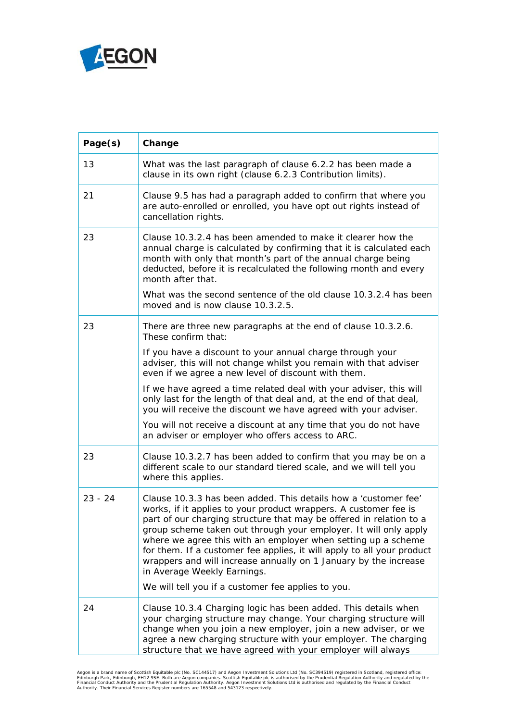

| Page(s)   | Change                                                                                                                                                                                                                                                                                                                                                                                                                                                                                                                       |
|-----------|------------------------------------------------------------------------------------------------------------------------------------------------------------------------------------------------------------------------------------------------------------------------------------------------------------------------------------------------------------------------------------------------------------------------------------------------------------------------------------------------------------------------------|
| 13        | What was the last paragraph of clause 6.2.2 has been made a<br>clause in its own right (clause 6.2.3 Contribution limits).                                                                                                                                                                                                                                                                                                                                                                                                   |
| 21        | Clause 9.5 has had a paragraph added to confirm that where you<br>are auto-enrolled or enrolled, you have opt out rights instead of<br>cancellation rights.                                                                                                                                                                                                                                                                                                                                                                  |
| 23        | Clause 10.3.2.4 has been amended to make it clearer how the<br>annual charge is calculated by confirming that it is calculated each<br>month with only that month's part of the annual charge being<br>deducted, before it is recalculated the following month and every<br>month after that.<br>What was the second sentence of the old clause 10.3.2.4 has been                                                                                                                                                            |
|           | moved and is now clause 10.3.2.5.                                                                                                                                                                                                                                                                                                                                                                                                                                                                                            |
| 23        | There are three new paragraphs at the end of clause 10.3.2.6.<br>These confirm that:                                                                                                                                                                                                                                                                                                                                                                                                                                         |
|           | If you have a discount to your annual charge through your<br>adviser, this will not change whilst you remain with that adviser<br>even if we agree a new level of discount with them.                                                                                                                                                                                                                                                                                                                                        |
|           | If we have agreed a time related deal with your adviser, this will<br>only last for the length of that deal and, at the end of that deal,<br>you will receive the discount we have agreed with your adviser.                                                                                                                                                                                                                                                                                                                 |
|           | You will not receive a discount at any time that you do not have<br>an adviser or employer who offers access to ARC.                                                                                                                                                                                                                                                                                                                                                                                                         |
| 23        | Clause 10.3.2.7 has been added to confirm that you may be on a<br>different scale to our standard tiered scale, and we will tell you<br>where this applies.                                                                                                                                                                                                                                                                                                                                                                  |
| $23 - 24$ | Clause 10.3.3 has been added. This details how a 'customer fee'<br>works, if it applies to your product wrappers. A customer fee is<br>part of our charging structure that may be offered in relation to a<br>group scheme taken out through your employer. It will only apply<br>where we agree this with an employer when setting up a scheme<br>for them. If a customer fee applies, it will apply to all your product<br>wrappers and will increase annually on 1 January by the increase<br>in Average Weekly Earnings. |
|           | We will tell you if a customer fee applies to you.                                                                                                                                                                                                                                                                                                                                                                                                                                                                           |
| 24        | Clause 10.3.4 Charging logic has been added. This details when<br>your charging structure may change. Your charging structure will<br>change when you join a new employer, join a new adviser, or we<br>agree a new charging structure with your employer. The charging<br>structure that we have agreed with your employer will always                                                                                                                                                                                      |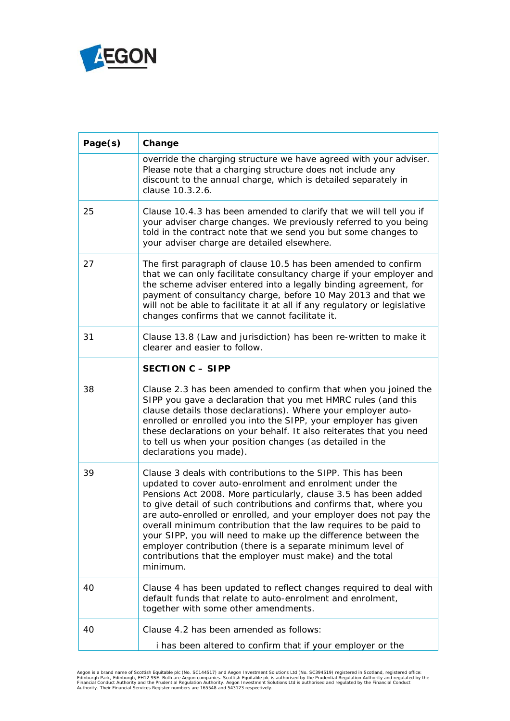

| Page(s) | Change                                                                                                                                                                                                                                                                                                                                                                                                                                                                                                                                                                                                            |
|---------|-------------------------------------------------------------------------------------------------------------------------------------------------------------------------------------------------------------------------------------------------------------------------------------------------------------------------------------------------------------------------------------------------------------------------------------------------------------------------------------------------------------------------------------------------------------------------------------------------------------------|
|         | override the charging structure we have agreed with your adviser.<br>Please note that a charging structure does not include any<br>discount to the annual charge, which is detailed separately in<br>clause 10.3.2.6.                                                                                                                                                                                                                                                                                                                                                                                             |
| 25      | Clause 10.4.3 has been amended to clarify that we will tell you if<br>your adviser charge changes. We previously referred to you being<br>told in the contract note that we send you but some changes to<br>your adviser charge are detailed elsewhere.                                                                                                                                                                                                                                                                                                                                                           |
| 27      | The first paragraph of clause 10.5 has been amended to confirm<br>that we can only facilitate consultancy charge if your employer and<br>the scheme adviser entered into a legally binding agreement, for<br>payment of consultancy charge, before 10 May 2013 and that we<br>will not be able to facilitate it at all if any regulatory or legislative<br>changes confirms that we cannot facilitate it.                                                                                                                                                                                                         |
| 31      | Clause 13.8 (Law and jurisdiction) has been re-written to make it<br>clearer and easier to follow.                                                                                                                                                                                                                                                                                                                                                                                                                                                                                                                |
|         | <b>SECTION C - SIPP</b>                                                                                                                                                                                                                                                                                                                                                                                                                                                                                                                                                                                           |
| 38      | Clause 2.3 has been amended to confirm that when you joined the<br>SIPP you gave a declaration that you met HMRC rules (and this<br>clause details those declarations). Where your employer auto-<br>enrolled or enrolled you into the SIPP, your employer has given<br>these declarations on your behalf. It also reiterates that you need<br>to tell us when your position changes (as detailed in the<br>declarations you made).                                                                                                                                                                               |
| 39      | Clause 3 deals with contributions to the SIPP. This has been<br>updated to cover auto-enrolment and enrolment under the<br>Pensions Act 2008. More particularly, clause 3.5 has been added<br>to give detail of such contributions and confirms that, where you<br>are auto-enrolled or enrolled, and your employer does not pay the<br>overall minimum contribution that the law requires to be paid to<br>your SIPP, you will need to make up the difference between the<br>employer contribution (there is a separate minimum level of<br>contributions that the employer must make) and the total<br>minimum. |
| 40      | Clause 4 has been updated to reflect changes required to deal with<br>default funds that relate to auto-enrolment and enrolment,<br>together with some other amendments.                                                                                                                                                                                                                                                                                                                                                                                                                                          |
| 40      | Clause 4.2 has been amended as follows:<br>i has been altered to confirm that if your employer or the                                                                                                                                                                                                                                                                                                                                                                                                                                                                                                             |